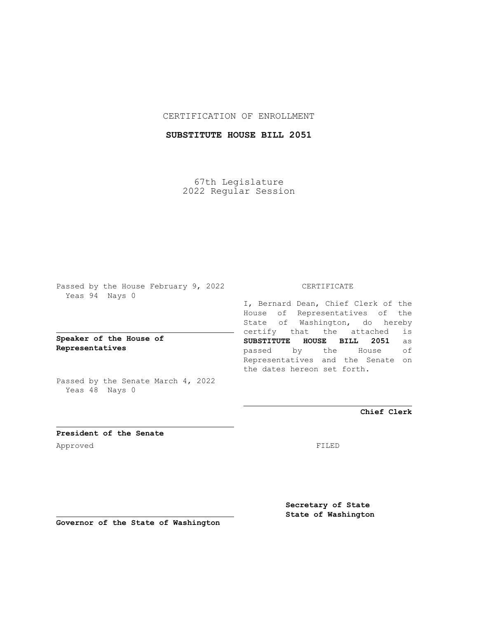## CERTIFICATION OF ENROLLMENT

## **SUBSTITUTE HOUSE BILL 2051**

67th Legislature 2022 Regular Session

Passed by the House February 9, 2022 Yeas 94 Nays 0

**Speaker of the House of Representatives**

Passed by the Senate March 4, 2022 Yeas 48 Nays 0

## CERTIFICATE

I, Bernard Dean, Chief Clerk of the House of Representatives of the State of Washington, do hereby certify that the attached is **SUBSTITUTE HOUSE BILL 2051** as passed by the House of Representatives and the Senate on the dates hereon set forth.

**Chief Clerk**

**President of the Senate** Approved FILED

**Secretary of State State of Washington**

**Governor of the State of Washington**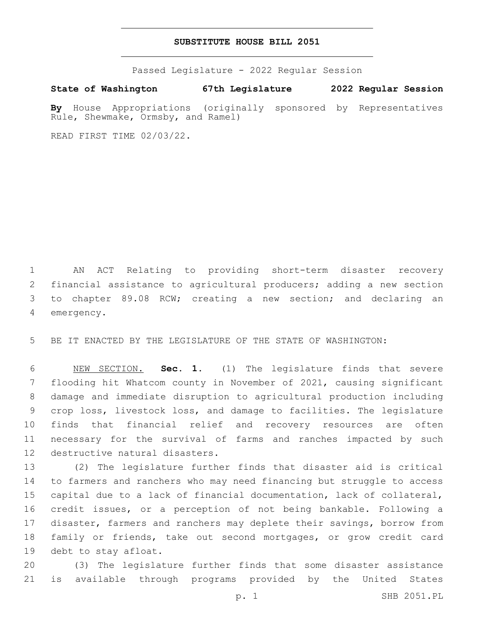## **SUBSTITUTE HOUSE BILL 2051**

Passed Legislature - 2022 Regular Session

**State of Washington 67th Legislature 2022 Regular Session**

**By** House Appropriations (originally sponsored by Representatives Rule, Shewmake, Ormsby, and Ramel)

READ FIRST TIME 02/03/22.

 AN ACT Relating to providing short-term disaster recovery financial assistance to agricultural producers; adding a new section to chapter 89.08 RCW; creating a new section; and declaring an 4 emergency.

BE IT ENACTED BY THE LEGISLATURE OF THE STATE OF WASHINGTON:

 NEW SECTION. **Sec. 1.** (1) The legislature finds that severe flooding hit Whatcom county in November of 2021, causing significant damage and immediate disruption to agricultural production including crop loss, livestock loss, and damage to facilities. The legislature finds that financial relief and recovery resources are often necessary for the survival of farms and ranches impacted by such destructive natural disasters.

 (2) The legislature further finds that disaster aid is critical to farmers and ranchers who may need financing but struggle to access capital due to a lack of financial documentation, lack of collateral, credit issues, or a perception of not being bankable. Following a disaster, farmers and ranchers may deplete their savings, borrow from family or friends, take out second mortgages, or grow credit card 19 debt to stay afloat.

 (3) The legislature further finds that some disaster assistance is available through programs provided by the United States

p. 1 SHB 2051.PL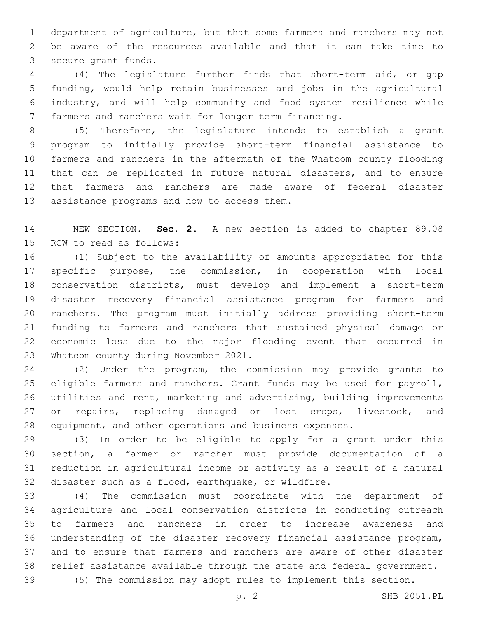department of agriculture, but that some farmers and ranchers may not be aware of the resources available and that it can take time to 3 secure grant funds.

 (4) The legislature further finds that short-term aid, or gap funding, would help retain businesses and jobs in the agricultural industry, and will help community and food system resilience while farmers and ranchers wait for longer term financing.

 (5) Therefore, the legislature intends to establish a grant program to initially provide short-term financial assistance to farmers and ranchers in the aftermath of the Whatcom county flooding that can be replicated in future natural disasters, and to ensure that farmers and ranchers are made aware of federal disaster 13 assistance programs and how to access them.

 NEW SECTION. **Sec. 2.** A new section is added to chapter 89.08 15 RCW to read as follows:

 (1) Subject to the availability of amounts appropriated for this specific purpose, the commission, in cooperation with local conservation districts, must develop and implement a short-term disaster recovery financial assistance program for farmers and ranchers. The program must initially address providing short-term funding to farmers and ranchers that sustained physical damage or economic loss due to the major flooding event that occurred in 23 Whatcom county during November 2021.

 (2) Under the program, the commission may provide grants to 25 eligible farmers and ranchers. Grant funds may be used for payroll, utilities and rent, marketing and advertising, building improvements 27 or repairs, replacing damaged or lost crops, livestock, and equipment, and other operations and business expenses.

 (3) In order to be eligible to apply for a grant under this section, a farmer or rancher must provide documentation of a reduction in agricultural income or activity as a result of a natural disaster such as a flood, earthquake, or wildfire.

 (4) The commission must coordinate with the department of agriculture and local conservation districts in conducting outreach to farmers and ranchers in order to increase awareness and understanding of the disaster recovery financial assistance program, and to ensure that farmers and ranchers are aware of other disaster relief assistance available through the state and federal government.

(5) The commission may adopt rules to implement this section.

p. 2 SHB 2051.PL